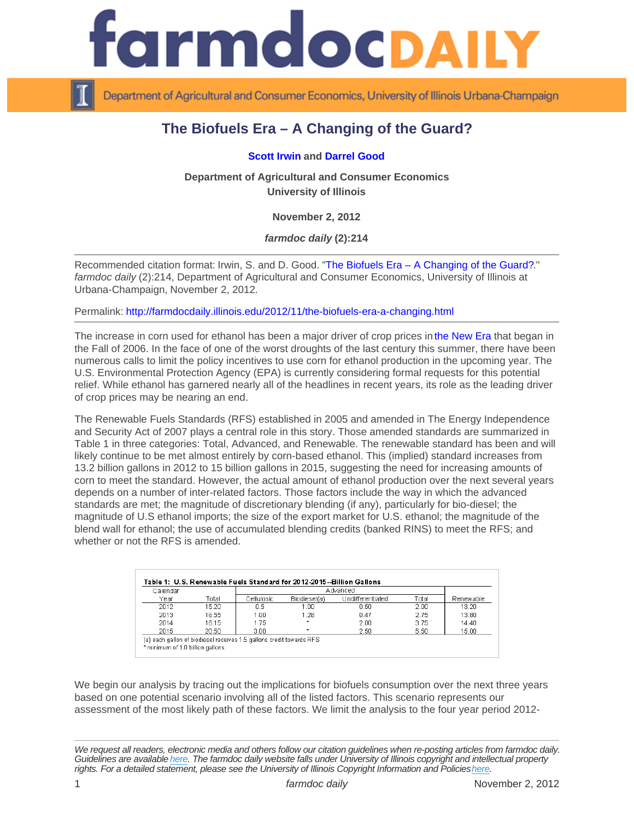## The Biofuels Era – A Changing of the Guard?

## [Scott Irwin](http://www.farmdoc.illinois.edu/irwin/) and [Darrel Good](http://www.farmdoc.illinois.edu/good/)

Department of Agricultural and Consumer Economics University of Illinois

November 2, 2012

farmdoc daily (2):214

Recommended citation format: Irwin, S. and D. Good. "[The Biofuels Era – A Changing of the Guard?](http://farmdocdaily.illinois.edu/2012/11/the-biofuels-era-a-changing.html)." farmdoc daily (2):214, Department of Agricultural and Consumer Economics, University of Illinois at Urbana-Champaign, November 2, 2012.

Permalink:<http://farmdocdaily.illinois.edu/2012/11/the-biofuels-era-a-changing.html>

The increase in corn used for ethanol has been a major driver of crop prices in [the New Era](http://farmdocdaily.illinois.edu/2011/03/a_new_era_in_crop_prices.html) that began in the Fall of 2006. In the face of one of the worst droughts of the last century this summer, there have been numerous calls to limit the policy incentives to use corn for ethanol production in the upcoming year. The U.S. Environmental Protection Agency (EPA) is currently considering formal requests for this potential relief. While ethanol has garnered nearly all of the headlines in recent years, its role as the leading driver of crop prices may be nearing an end.

The Renewable Fuels Standards (RFS) established in 2005 and amended in The Energy Independence and Security Act of 2007 plays a central role in this story. Those amended standards are summarized in Table 1 in three categories: Total, Advanced, and Renewable. The renewable standard has been and will likely continue to be met almost entirely by corn-based ethanol. This (implied) standard increases from 13.2 billion gallons in 2012 to 15 billion gallons in 2015, suggesting the need for increasing amounts of corn to meet the standard. However, the actual amount of ethanol production over the next several years depends on a number of inter-related factors. Those factors include the way in which the advanced standards are met; the magnitude of discretionary blending (if any), particularly for bio-diesel; the magnitude of U.S ethanol imports; the size of the export market for U.S. ethanol; the magnitude of the blend wall for ethanol; the use of accumulated blending credits (banked RINS) to meet the RFS; and whether or not the RFS is amended.

We begin our analysis by tracing out the implications for biofuels consumption over the next three years based on one potential scenario involving all of the listed factors. This scenario represents our assessment of the most likely path of these factors. We limit the analysis to the four year period 2012-

We request all readers, electronic media and others follow our citation guidelines when re-posting articles from farmdoc daily. Guidelines are available [here](http://farmdocdaily.illinois.edu/citationguide.html). The farmdoc daily website falls under University of Illinois copyright and intellectual property rights. For a detailed statement, please see the University of Illinois Copyright Information and Policies [here.](https://techservices.illinois.edu/office-cio)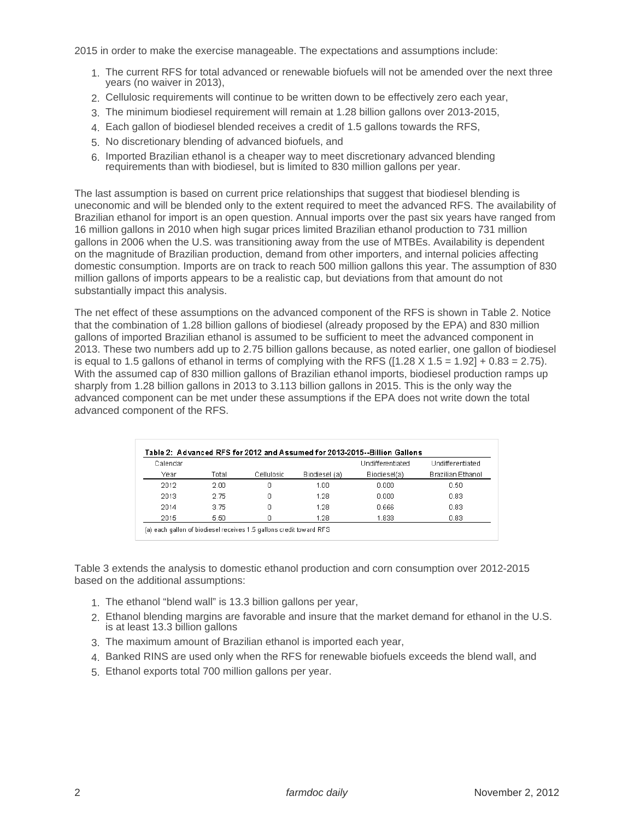2015 in order to make the exercise manageable. The expectations and assumptions include:

- 1. The current RFS for total advanced or renewable biofuels will not be amended over the next three years (no waiver in 2013),
- 2. Cellulosic requirements will continue to be written down to be effectively zero each year,
- 3. The minimum biodiesel requirement will remain at 1.28 billion gallons over 2013-2015,
- 4. Each gallon of biodiesel blended receives a credit of 1.5 gallons towards the RFS,
- 5. No discretionary blending of advanced biofuels, and
- 6. Imported Brazilian ethanol is a cheaper way to meet discretionary advanced blending requirements than with biodiesel, but is limited to 830 million gallons per year.

The last assumption is based on current price relationships that suggest that biodiesel blending is uneconomic and will be blended only to the extent required to meet the advanced RFS. The availability of Brazilian ethanol for import is an open question. Annual imports over the past six years have ranged from 16 million gallons in 2010 when high sugar prices limited Brazilian ethanol production to 731 million gallons in 2006 when the U.S. was transitioning away from the use of MTBEs. Availability is dependent on the magnitude of Brazilian production, demand from other importers, and internal policies affecting domestic consumption. Imports are on track to reach 500 million gallons this year. The assumption of 830 million gallons of imports appears to be a realistic cap, but deviations from that amount do not substantially impact this analysis.

The net effect of these assumptions on the advanced component of the RFS is shown in Table 2. Notice that the combination of 1.28 billion gallons of biodiesel (already proposed by the EPA) and 830 million gallons of imported Brazilian ethanol is assumed to be sufficient to meet the advanced component in 2013. These two numbers add up to 2.75 billion gallons because, as noted earlier, one gallon of biodiesel is equal to 1.5 gallons of ethanol in terms of complying with the RFS ( $[1.28 \times 1.5 = 1.92] + 0.83 = 2.75$ ). With the assumed cap of 830 million gallons of Brazilian ethanol imports, biodiesel production ramps up sharply from 1.28 billion gallons in 2013 to 3.113 billion gallons in 2015. This is the only way the advanced component can be met under these assumptions if the EPA does not write down the total advanced component of the RFS.

| Calendar |       |            |               | Undifferentiated | Undifferentiated  |
|----------|-------|------------|---------------|------------------|-------------------|
| Year     | Total | Cellulosic | Biodiesel (a) | Biodiesel(a)     | Brazilian Ethanol |
| 2012     | 2 UU  | Π          | 1 በበ          | 0.000            | 0.50              |
| 2013     | 2.75  | Π          | 1.28          | 0.000            | 0.83              |
| 2014     | 3.75  | Ω          | 1.28          | 0.666            | 0.83              |
| 2015     | 5.50  | Π          | 1.28          | 1.833            | 0.83              |

Table 3 extends the analysis to domestic ethanol production and corn consumption over 2012-2015 based on the additional assumptions:

- 1. The ethanol "blend wall" is 13.3 billion gallons per year,
- 2. Ethanol blending margins are favorable and insure that the market demand for ethanol in the U.S. is at least 13.3 billion gallons
- 3. The maximum amount of Brazilian ethanol is imported each year,
- 4. Banked RINS are used only when the RFS for renewable biofuels exceeds the blend wall, and
- 5. Ethanol exports total 700 million gallons per year.